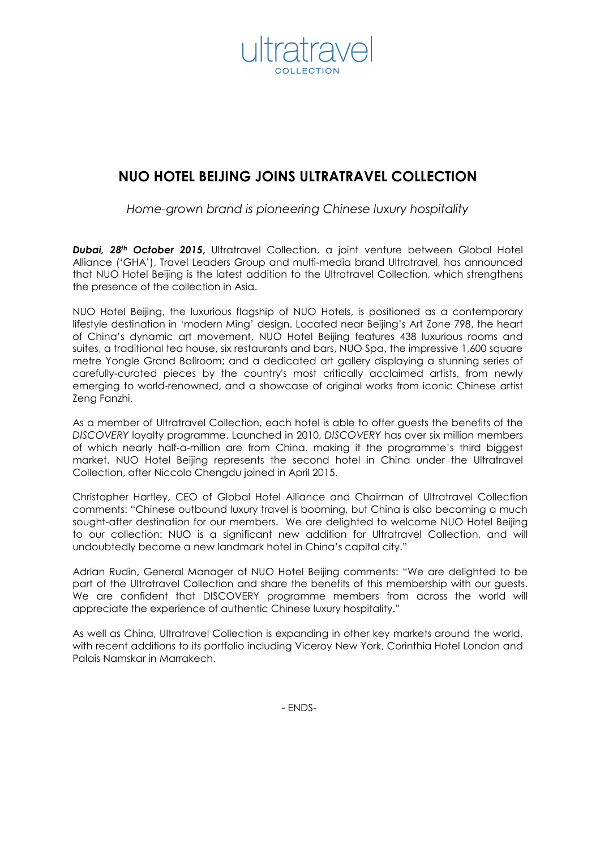

# **NUO HOTEL BEIJING JOINS ULTRATRAVEL COLLECTION**

*Home-grown brand is pioneering Chinese luxury hospitality* 

*Dubai, 28th October 2015***,** Ultratravel Collection, a joint venture between Global Hotel Alliance ('GHA'), Travel Leaders Group and multi-media brand Ultratravel, has announced that NUO Hotel Beijing is the latest addition to the Ultratravel Collection, which strengthens the presence of the collection in Asia.

NUO Hotel Beijing, the luxurious flagship of NUO Hotels, is positioned as a contemporary lifestyle destination in 'modern Ming' design. Located near Beijing's Art Zone 798, the heart of China's dynamic art movement, NUO Hotel Beijing features 438 luxurious rooms and suites, a traditional tea house, six restaurants and bars, NUO Spa, the impressive 1,600 square metre Yongle Grand Ballroom; and a dedicated art gallery displaying a stunning series of carefully-curated pieces by the country's most critically acclaimed artists, from newly emerging to world-renowned, and a showcase of original works from iconic Chinese artist Zeng Fanzhi.

As a member of Ultratravel Collection, each hotel is able to offer guests the benefits of the *DISCOVERY* loyalty programme. Launched in 2010, *DISCOVERY* has over six million members of which nearly half-a-million are from China, making it the programme's third biggest market. NUO Hotel Beijing represents the second hotel in China under the Ultratravel Collection, after Niccolo Chengdu joined in April 2015.

Christopher Hartley, CEO of Global Hotel Alliance and Chairman of Ultratravel Collection comments: "Chinese outbound luxury travel is booming, but China is also becoming a much sought-after destination for our members. We are delighted to welcome NUO Hotel Beijing to our collection: NUO is a significant new addition for Ultratravel Collection, and will undoubtedly become a new landmark hotel in China's capital city."

Adrian Rudin, General Manager of NUO Hotel Beijing comments: "We are delighted to be part of the Ultratravel Collection and share the benefits of this membership with our guests. We are confident that DISCOVERY programme members from across the world will appreciate the experience of authentic Chinese luxury hospitality."

As well as China, Ultratravel Collection is expanding in other key markets around the world, with recent additions to its portfolio including Viceroy New York, Corinthia Hotel London and Palais Namskar in Marrakech.

- ENDS-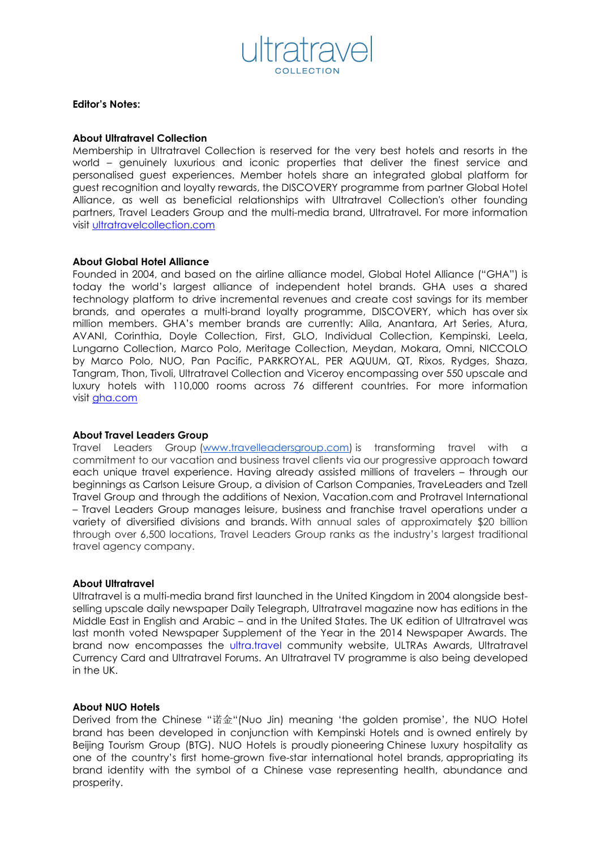

### **Editor's Notes:**

### **About Ultratravel Collection**

Membership in Ultratravel Collection is reserved for the very best hotels and resorts in the world – genuinely luxurious and iconic properties that deliver the finest service and personalised guest experiences. Member hotels share an integrated global platform for guest recognition and loyalty rewards, the DISCOVERY programme from partner Global Hotel Alliance, as well as beneficial relationships with Ultratravel Collection's other founding partners, Travel Leaders Group and the multi-media brand, Ultratravel. For more information visit ultratravelcollection.com

#### **About Global Hotel Alliance**

Founded in 2004, and based on the airline alliance model, Global Hotel Alliance ("GHA") is today the world's largest alliance of independent hotel brands. GHA uses a shared technology platform to drive incremental revenues and create cost savings for its member brands, and operates a multi-brand loyalty programme, DISCOVERY, which has over six million members. GHA's member brands are currently: Alila, Anantara, Art Series, Atura, AVANI, Corinthia, Doyle Collection, First, GLO, Individual Collection, Kempinski, Leela, Lungarno Collection, Marco Polo, Meritage Collection, Meydan, Mokara, Omni, NICCOLO by Marco Polo, NUO, Pan Pacific, PARKROYAL, PER AQUUM, QT, Rixos, Rydges, Shaza, Tangram, Thon, Tivoli, Ultratravel Collection and Viceroy encompassing over 550 upscale and luxury hotels with 110,000 rooms across 76 different countries. For more information visit gha.com

### **About Travel Leaders Group**

Travel Leaders Group (www.travelleadersgroup.com) is transforming travel with a commitment to our vacation and business travel clients via our progressive approach toward each unique travel experience. Having already assisted millions of travelers – through our beginnings as Carlson Leisure Group, a division of Carlson Companies, TraveLeaders and Tzell Travel Group and through the additions of Nexion, Vacation.com and Protravel International – Travel Leaders Group manages leisure, business and franchise travel operations under a variety of diversified divisions and brands. With annual sales of approximately \$20 billion through over 6,500 locations, Travel Leaders Group ranks as the industry's largest traditional travel agency company.

### **About Ultratravel**

Ultratravel is a multi-media brand first launched in the United Kingdom in 2004 alongside bestselling upscale daily newspaper Daily Telegraph, Ultratravel magazine now has editions in the Middle East in English and Arabic – and in the United States. The UK edition of Ultratravel was last month voted Newspaper Supplement of the Year in the 2014 Newspaper Awards. The brand now encompasses the ultra.travel community website, ULTRAs Awards, Ultratravel Currency Card and Ultratravel Forums. An Ultratravel TV programme is also being developed in the UK.

### **About NUO Hotels**

Derived from the Chinese "诺金"(Nuo Jin) meaning 'the golden promise', the NUO Hotel brand has been developed in conjunction with Kempinski Hotels and is owned entirely by Beijing Tourism Group (BTG). NUO Hotels is proudly pioneering Chinese luxury hospitality as one of the country's first home-grown five-star international hotel brands, appropriating its brand identity with the symbol of a Chinese vase representing health, abundance and prosperity.